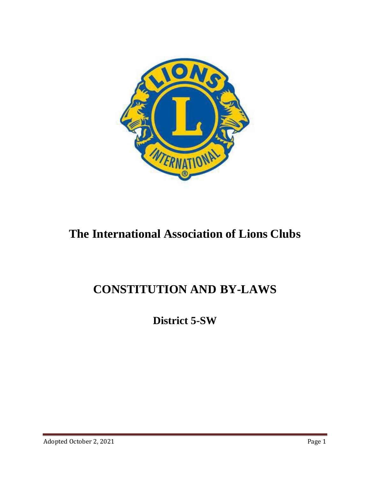

# **The International Association of Lions Clubs**

# **CONSTITUTION AND BY-LAWS**

**District 5-SW**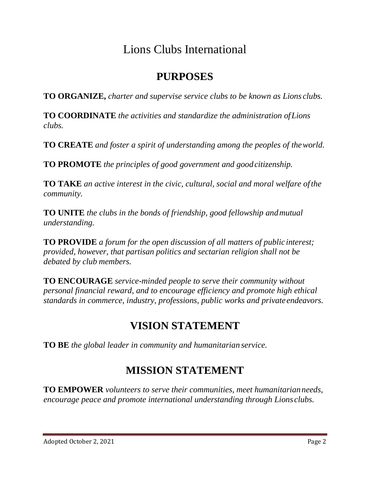# Lions Clubs International

# **PURPOSES**

**TO ORGANIZE,** *charter and supervise service clubs to be known as Lions clubs.*

**TO COORDINATE** *the activities and standardize the administration ofLions clubs.*

**TO CREATE** *and foster a spirit of understanding among the peoples of theworld.*

**TO PROMOTE** *the principles of good government and goodcitizenship.*

**TO TAKE** *an active interest in the civic, cultural, social and moral welfare ofthe community.*

**TO UNITE** *the clubs in the bonds of friendship, good fellowship andmutual understanding.*

**TO PROVIDE** *a forum for the open discussion of all matters of public interest; provided, however, that partisan politics and sectarian religion shall not be debated by club members.*

**TO ENCOURAGE** *service-minded people to serve their community without personal financial reward, and to encourage efficiency and promote high ethical standards in commerce, industry, professions, public works and private endeavors.* 

# **VISION STATEMENT**

**TO BE** *the global leader in community and humanitarian service.*

# **MISSION STATEMENT**

**TO EMPOWER** *volunteers to serve their communities, meet humanitarianneeds, encourage peace and promote international understanding through Lions clubs.*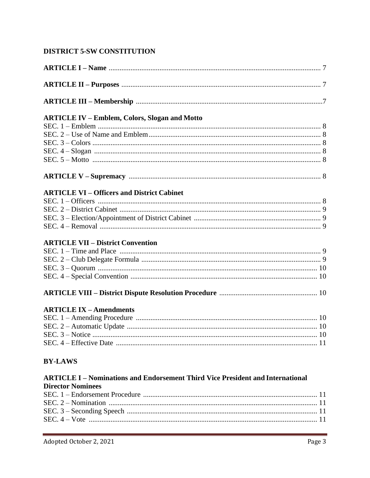## DISTRICT 5-SW CONSTITUTION

| <b>ARTICLE IV - Emblem, Colors, Slogan and Motto</b>                                  |  |  |  |  |
|---------------------------------------------------------------------------------------|--|--|--|--|
|                                                                                       |  |  |  |  |
|                                                                                       |  |  |  |  |
|                                                                                       |  |  |  |  |
|                                                                                       |  |  |  |  |
|                                                                                       |  |  |  |  |
|                                                                                       |  |  |  |  |
| <b>ARTICLE VI - Officers and District Cabinet</b>                                     |  |  |  |  |
|                                                                                       |  |  |  |  |
|                                                                                       |  |  |  |  |
|                                                                                       |  |  |  |  |
|                                                                                       |  |  |  |  |
| <b>ARTICLE VII - District Convention</b>                                              |  |  |  |  |
|                                                                                       |  |  |  |  |
|                                                                                       |  |  |  |  |
|                                                                                       |  |  |  |  |
|                                                                                       |  |  |  |  |
|                                                                                       |  |  |  |  |
| <b>ARTICLE IX - Amendments</b>                                                        |  |  |  |  |
|                                                                                       |  |  |  |  |
|                                                                                       |  |  |  |  |
|                                                                                       |  |  |  |  |
|                                                                                       |  |  |  |  |
| <b>BY-LAWS</b>                                                                        |  |  |  |  |
| <b>ARTICLE I – Nominations and Endorsement Third Vice President and International</b> |  |  |  |  |
| <b>Director Nominees</b>                                                              |  |  |  |  |
|                                                                                       |  |  |  |  |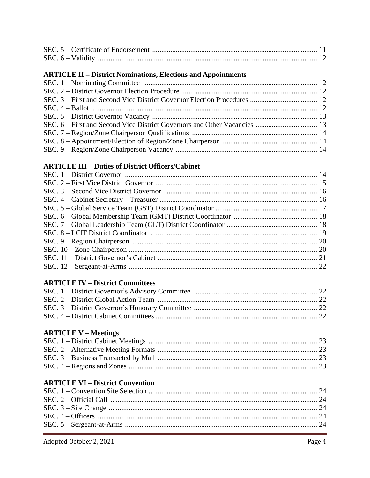## **ARTICLE II - District Nominations, Elections and Appointments**

## **ARTICLE III - Duties of District Officers/Cabinet**

## **ARTICLE IV - District Committees**

## **ARTICLE V - Meetings**

## **ARTICLE VI - District Convention**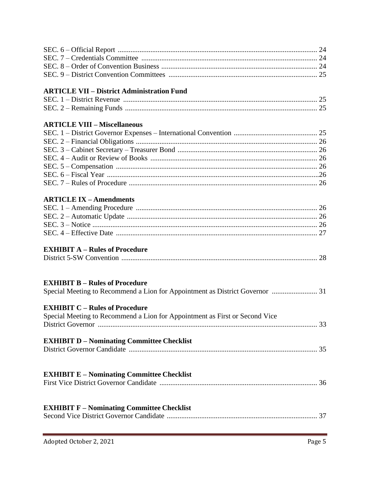| <b>ARTICLE VII – District Administration Fund</b>                            |  |
|------------------------------------------------------------------------------|--|
|                                                                              |  |
|                                                                              |  |
|                                                                              |  |
| <b>ARTICLE VIII - Miscellaneous</b>                                          |  |
|                                                                              |  |
|                                                                              |  |
|                                                                              |  |
|                                                                              |  |
|                                                                              |  |
|                                                                              |  |
|                                                                              |  |
|                                                                              |  |
| <b>ARTICLE IX - Amendments</b>                                               |  |
|                                                                              |  |
|                                                                              |  |
|                                                                              |  |
|                                                                              |  |
|                                                                              |  |
|                                                                              |  |
|                                                                              |  |
| <b>EXHIBIT A – Rules of Procedure</b>                                        |  |
|                                                                              |  |
|                                                                              |  |
|                                                                              |  |
| <b>EXHIBIT B - Rules of Procedure</b>                                        |  |
| Special Meeting to Recommend a Lion for Appointment as District Governor  31 |  |
| <b>EXHIBIT C - Rules of Procedure</b>                                        |  |
|                                                                              |  |
| Special Meeting to Recommend a Lion for Appointment as First or Second Vice  |  |
|                                                                              |  |
|                                                                              |  |
|                                                                              |  |
| <b>EXHIBIT D - Nominating Committee Checklist</b>                            |  |
|                                                                              |  |
| <b>EXHIBIT E – Nominating Committee Checklist</b>                            |  |
|                                                                              |  |
|                                                                              |  |
|                                                                              |  |
| <b>EXHIBIT F - Nominating Committee Checklist</b>                            |  |
|                                                                              |  |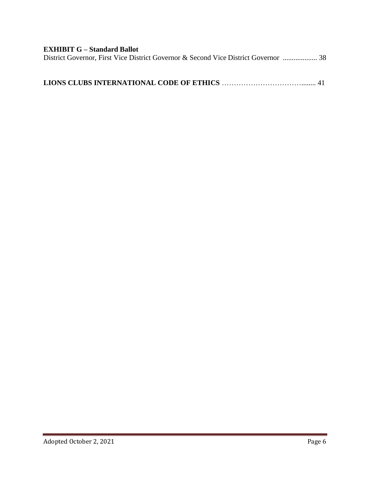| <b>EXHIBIT G – Standard Ballot</b>                                                  |  |  |  |  |
|-------------------------------------------------------------------------------------|--|--|--|--|
| District Governor, First Vice District Governor & Second Vice District Governor  38 |  |  |  |  |
|                                                                                     |  |  |  |  |
|                                                                                     |  |  |  |  |

|--|--|--|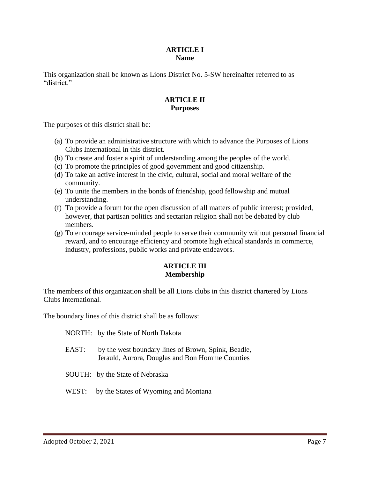#### **ARTICLE I Name**

This organization shall be known as Lions District No. 5-SW hereinafter referred to as "district."

## **ARTICLE II Purposes**

The purposes of this district shall be:

- (a) To provide an administrative structure with which to advance the Purposes of Lions Clubs International in this district.
- (b) To create and foster a spirit of understanding among the peoples of the world.
- (c) To promote the principles of good government and good citizenship.
- (d) To take an active interest in the civic, cultural, social and moral welfare of the community.
- (e) To unite the members in the bonds of friendship, good fellowship and mutual understanding.
- (f) To provide a forum for the open discussion of all matters of public interest; provided, however, that partisan politics and sectarian religion shall not be debated by club members.
- (g) To encourage service-minded people to serve their community without personal financial reward, and to encourage efficiency and promote high ethical standards in commerce, industry, professions, public works and private endeavors.

## **ARTICLE III Membership**

The members of this organization shall be all Lions clubs in this district chartered by Lions Clubs International.

The boundary lines of this district shall be as follows:

|       | NORTH: by the State of North Dakota                                                                    |
|-------|--------------------------------------------------------------------------------------------------------|
| EAST: | by the west boundary lines of Brown, Spink, Beadle,<br>Jerauld, Aurora, Douglas and Bon Homme Counties |
|       | SOUTH: by the State of Nebraska                                                                        |
|       | WEST: by the States of Wyoming and Montana                                                             |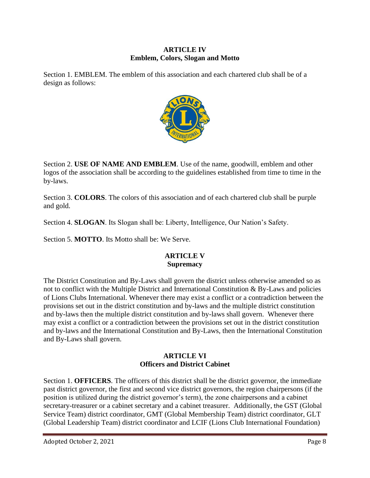#### **ARTICLE IV Emblem, Colors, Slogan and Motto**

Section 1. EMBLEM. The emblem of this association and each chartered club shall be of a design as follows:



Section 2. **USE OF NAME AND EMBLEM**. Use of the name, goodwill, emblem and other logos of the association shall be according to the guidelines established from time to time in the by-laws.

Section 3. **COLORS**. The colors of this association and of each chartered club shall be purple and gold.

Section 4. **SLOGAN**. Its Slogan shall be: Liberty, Intelligence, Our Nation's Safety.

Section 5. **MOTTO**. Its Motto shall be: We Serve.

## **ARTICLE V Supremacy**

The District Constitution and By-Laws shall govern the district unless otherwise amended so as not to conflict with the Multiple District and International Constitution & By-Laws and policies of Lions Clubs International. Whenever there may exist a conflict or a contradiction between the provisions set out in the district constitution and by-laws and the multiple district constitution and by-laws then the multiple district constitution and by-laws shall govern. Whenever there may exist a conflict or a contradiction between the provisions set out in the district constitution and by-laws and the International Constitution and By-Laws, then the International Constitution and By-Laws shall govern.

## **ARTICLE VI Officers and District Cabinet**

Section 1. **OFFICERS**. The officers of this district shall be the district governor, the immediate past district governor, the first and second vice district governors, the region chairpersons (if the position is utilized during the district governor's term), the zone chairpersons and a cabinet secretary-treasurer or a cabinet secretary and a cabinet treasurer. Additionally, the GST (Global Service Team) district coordinator, GMT (Global Membership Team) district coordinator, GLT (Global Leadership Team) district coordinator and LCIF (Lions Club International Foundation)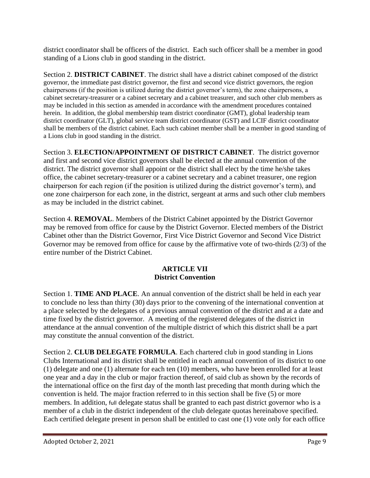district coordinator shall be officers of the district. Each such officer shall be a member in good standing of a Lions club in good standing in the district.

Section 2. **DISTRICT CABINET**. The district shall have a district cabinet composed of the district governor, the immediate past district governor, the first and second vice district governors, the region chairpersons (if the position is utilized during the district governor's term), the zone chairpersons, a cabinet secretary-treasurer or a cabinet secretary and a cabinet treasurer, and such other club members as may be included in this section as amended in accordance with the amendment procedures contained herein. In addition, the global membership team district coordinator (GMT), global leadership team district coordinator (GLT), global service team district coordinator (GST) and LCIF district coordinator shall be members of the district cabinet. Each such cabinet member shall be a member in good standing of a Lions club in good standing in the district.

Section 3. **ELECTION/APPOINTMENT OF DISTRICT CABINET**. The district governor and first and second vice district governors shall be elected at the annual convention of the district. The district governor shall appoint or the district shall elect by the time he/she takes office, the cabinet secretary-treasurer or a cabinet secretary and a cabinet treasurer, one region chairperson for each region (if the position is utilized during the district governor's term), and one zone chairperson for each zone, in the district, sergeant at arms and such other club members as may be included in the district cabinet.

Section 4. **REMOVAL**. Members of the District Cabinet appointed by the District Governor may be removed from office for cause by the District Governor. Elected members of the District Cabinet other than the District Governor, First Vice District Governor and Second Vice District Governor may be removed from office for cause by the affirmative vote of two-thirds (2/3) of the entire number of the District Cabinet.

#### **ARTICLE VII District Convention**

Section 1. **TIME AND PLACE**. An annual convention of the district shall be held in each year to conclude no less than thirty (30) days prior to the convening of the international convention at a place selected by the delegates of a previous annual convention of the district and at a date and time fixed by the district governor. A meeting of the registered delegates of the district in attendance at the annual convention of the multiple district of which this district shall be a part may constitute the annual convention of the district.

Section 2. **CLUB DELEGATE FORMULA**. Each chartered club in good standing in Lions Clubs International and its district shall be entitled in each annual convention of its district to one (1) delegate and one (1) alternate for each ten (10) members, who have been enrolled for at least one year and a day in the club or major fraction thereof, of said club as shown by the records of the international office on the first day of the month last preceding that month during which the convention is held. The major fraction referred to in this section shall be five (5) or more members. In addition, full delegate status shall be granted to each past district governor who is a member of a club in the district independent of the club delegate quotas hereinabove specified. Each certified delegate present in person shall be entitled to cast one (1) vote only for each office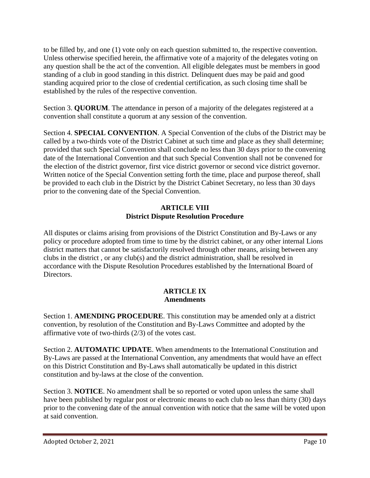to be filled by, and one (1) vote only on each question submitted to, the respective convention. Unless otherwise specified herein, the affirmative vote of a majority of the delegates voting on any question shall be the act of the convention. All eligible delegates must be members in good standing of a club in good standing in this district. Delinquent dues may be paid and good standing acquired prior to the close of credential certification, as such closing time shall be established by the rules of the respective convention.

Section 3. **QUORUM**. The attendance in person of a majority of the delegates registered at a convention shall constitute a quorum at any session of the convention.

Section 4. **SPECIAL CONVENTION**. A Special Convention of the clubs of the District may be called by a two-thirds vote of the District Cabinet at such time and place as they shall determine; provided that such Special Convention shall conclude no less than 30 days prior to the convening date of the International Convention and that such Special Convention shall not be convened for the election of the district governor, first vice district governor or second vice district governor. Written notice of the Special Convention setting forth the time, place and purpose thereof, shall be provided to each club in the District by the District Cabinet Secretary, no less than 30 days prior to the convening date of the Special Convention.

## **ARTICLE VIII District Dispute Resolution Procedure**

All disputes or claims arising from provisions of the District Constitution and By-Laws or any policy or procedure adopted from time to time by the district cabinet, or any other internal Lions district matters that cannot be satisfactorily resolved through other means, arising between any clubs in the district , or any club(s) and the district administration, shall be resolved in accordance with the Dispute Resolution Procedures established by the International Board of Directors.

### **ARTICLE IX Amendments**

Section 1. **AMENDING PROCEDURE**. This constitution may be amended only at a district convention, by resolution of the Constitution and By-Laws Committee and adopted by the affirmative vote of two-thirds (2/3) of the votes cast.

Section 2. **AUTOMATIC UPDATE**. When amendments to the International Constitution and By-Laws are passed at the International Convention, any amendments that would have an effect on this District Constitution and By-Laws shall automatically be updated in this district constitution and by-laws at the close of the convention.

Section 3. **NOTICE**. No amendment shall be so reported or voted upon unless the same shall have been published by regular post or electronic means to each club no less than thirty (30) days prior to the convening date of the annual convention with notice that the same will be voted upon at said convention.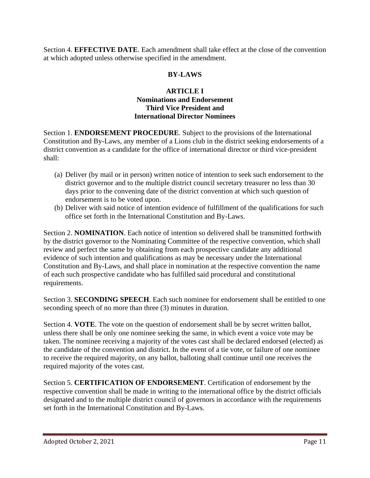Section 4. **EFFECTIVE DATE**. Each amendment shall take effect at the close of the convention at which adopted unless otherwise specified in the amendment.

## **BY-LAWS**

### **ARTICLE I Nominations and Endorsement Third Vice President and International Director Nominees**

Section 1. **ENDORSEMENT PROCEDURE**. Subject to the provisions of the International Constitution and By-Laws, any member of a Lions club in the district seeking endorsements of a district convention as a candidate for the office of international director or third vice-president shall:

- (a) Deliver (by mail or in person) written notice of intention to seek such endorsement to the district governor and to the multiple district council secretary treasurer no less than 30 days prior to the convening date of the district convention at which such question of endorsement is to be voted upon.
- (b) Deliver with said notice of intention evidence of fulfillment of the qualifications for such office set forth in the International Constitution and By-Laws.

Section 2. **NOMINATION**. Each notice of intention so delivered shall be transmitted forthwith by the district governor to the Nominating Committee of the respective convention, which shall review and perfect the same by obtaining from each prospective candidate any additional evidence of such intention and qualifications as may be necessary under the International Constitution and By-Laws, and shall place in nomination at the respective convention the name of each such prospective candidate who has fulfilled said procedural and constitutional requirements.

Section 3. **SECONDING SPEECH**. Each such nominee for endorsement shall be entitled to one seconding speech of no more than three (3) minutes in duration.

Section 4. **VOTE**. The vote on the question of endorsement shall be by secret written ballot, unless there shall be only one nominee seeking the same, in which event a voice vote may be taken. The nominee receiving a majority of the votes cast shall be declared endorsed (elected) as the candidate of the convention and district. In the event of a tie vote, or failure of one nominee to receive the required majority, on any ballot, balloting shall continue until one receives the required majority of the votes cast.

Section 5. **CERTIFICATION OF ENDORSEMENT**. Certification of endorsement by the respective convention shall be made in writing to the international office by the district officials designated and to the multiple district council of governors in accordance with the requirements set forth in the International Constitution and By-Laws.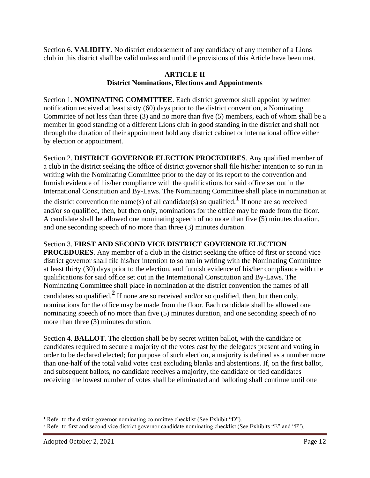Section 6. **VALIDITY**. No district endorsement of any candidacy of any member of a Lions club in this district shall be valid unless and until the provisions of this Article have been met.

## **ARTICLE II District Nominations, Elections and Appointments**

Section 1. **NOMINATING COMMITTEE**. Each district governor shall appoint by written notification received at least sixty (60) days prior to the district convention, a Nominating Committee of not less than three (3) and no more than five (5) members, each of whom shall be a member in good standing of a different Lions club in good standing in the district and shall not through the duration of their appointment hold any district cabinet or international office either by election or appointment.

Section 2. **DISTRICT GOVERNOR ELECTION PROCEDURES**. Any qualified member of a club in the district seeking the office of district governor shall file his/her intention to so run in writing with the Nominating Committee prior to the day of its report to the convention and furnish evidence of his/her compliance with the qualifications for said office set out in the International Constitution and By-Laws. The Nominating Committee shall place in nomination at the district convention the name(s) of all candidate(s) so qualified.<sup>1</sup> If none are so received and/or so qualified, then, but then only, nominations for the office may be made from the floor. A candidate shall be allowed one nominating speech of no more than five (5) minutes duration, and one seconding speech of no more than three (3) minutes duration.

### Section 3. **FIRST AND SECOND VICE DISTRICT GOVERNOR ELECTION**

**PROCEDURES**. Any member of a club in the district seeking the office of first or second vice district governor shall file his/her intention to so run in writing with the Nominating Committee at least thirty (30) days prior to the election, and furnish evidence of his/her compliance with the qualifications for said office set out in the International Constitution and By-Laws. The Nominating Committee shall place in nomination at the district convention the names of all candidates so qualified.**<sup>2</sup>** If none are so received and/or so qualified, then, but then only, nominations for the office may be made from the floor. Each candidate shall be allowed one nominating speech of no more than five (5) minutes duration, and one seconding speech of no more than three (3) minutes duration.

Section 4. **BALLOT**. The election shall be by secret written ballot, with the candidate or candidates required to secure a majority of the votes cast by the delegates present and voting in order to be declared elected; for purpose of such election, a majority is defined as a number more than one-half of the total valid votes cast excluding blanks and abstentions. If, on the first ballot, and subsequent ballots, no candidate receives a majority, the candidate or tied candidates receiving the lowest number of votes shall be eliminated and balloting shall continue until one

<sup>&</sup>lt;sup>1</sup> Refer to the district governor nominating committee checklist (See Exhibit "D").

<sup>&</sup>lt;sup>2</sup> Refer to first and second vice district governor candidate nominating checklist (See Exhibits "E" and "F").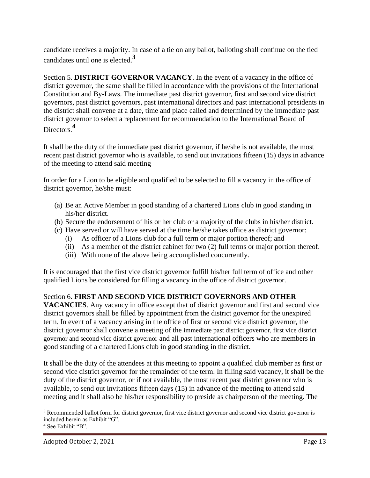candidate receives a majority. In case of a tie on any ballot, balloting shall continue on the tied candidates until one is elected. **3**

Section 5. **DISTRICT GOVERNOR VACANCY**. In the event of a vacancy in the office of district governor, the same shall be filled in accordance with the provisions of the International Constitution and By-Laws. The immediate past district governor, first and second vice district governors, past district governors, past international directors and past international presidents in the district shall convene at a date, time and place called and determined by the immediate past district governor to select a replacement for recommendation to the International Board of Directors.**<sup>4</sup>**

It shall be the duty of the immediate past district governor, if he/she is not available, the most recent past district governor who is available, to send out invitations fifteen (15) days in advance of the meeting to attend said meeting

In order for a Lion to be eligible and qualified to be selected to fill a vacancy in the office of district governor, he/she must:

- (a) Be an Active Member in good standing of a chartered Lions club in good standing in his/her district.
- (b) Secure the endorsement of his or her club or a majority of the clubs in his/her district.
- (c) Have served or will have served at the time he/she takes office as district governor:
	- (i) As officer of a Lions club for a full term or major portion thereof; and
	- (ii) As a member of the district cabinet for two (2) full terms or major portion thereof.
	- (iii) With none of the above being accomplished concurrently.

It is encouraged that the first vice district governor fulfill his/her full term of office and other qualified Lions be considered for filling a vacancy in the office of district governor.

### Section 6. **FIRST AND SECOND VICE DISTRICT GOVERNORS AND OTHER**

**VACANCIES**. Any vacancy in office except that of district governor and first and second vice district governors shall be filled by appointment from the district governor for the unexpired term. In event of a vacancy arising in the office of first or second vice district governor, the district governor shall convene a meeting of the immediate past district governor, first vice district governor and second vice district governor and all past international officers who are members in good standing of a chartered Lions club in good standing in the district.

It shall be the duty of the attendees at this meeting to appoint a qualified club member as first or second vice district governor for the remainder of the term. In filling said vacancy, it shall be the duty of the district governor, or if not available, the most recent past district governor who is available, to send out invitations fifteen days (15) in advance of the meeting to attend said meeting and it shall also be his/her responsibility to preside as chairperson of the meeting. The

 $3$  Recommended ballot form for district governor, first vice district governor and second vice district governor is included herein as Exhibit "G".

<sup>4</sup> See Exhibit "B".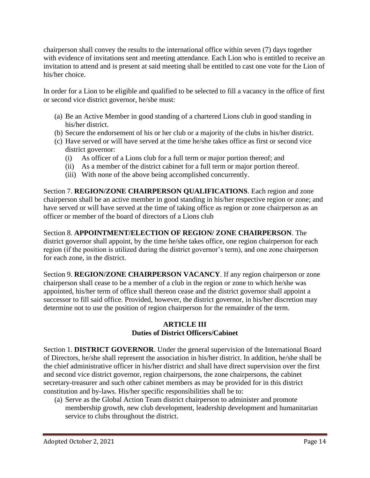chairperson shall convey the results to the international office within seven (7) days together with evidence of invitations sent and meeting attendance. Each Lion who is entitled to receive an invitation to attend and is present at said meeting shall be entitled to cast one vote for the Lion of his/her choice.

In order for a Lion to be eligible and qualified to be selected to fill a vacancy in the office of first or second vice district governor, he/she must:

- (a) Be an Active Member in good standing of a chartered Lions club in good standing in his/her district.
- (b) Secure the endorsement of his or her club or a majority of the clubs in his/her district.
- (c) Have served or will have served at the time he/she takes office as first or second vice district governor:
	- (i) As officer of a Lions club for a full term or major portion thereof; and
	- (ii) As a member of the district cabinet for a full term or major portion thereof.
	- (iii) With none of the above being accomplished concurrently.

Section 7. **REGION/ZONE CHAIRPERSON QUALIFICATIONS**. Each region and zone chairperson shall be an active member in good standing in his/her respective region or zone; and have served or will have served at the time of taking office as region or zone chairperson as an officer or member of the board of directors of a Lions club

Section 8. **APPOINTMENT/ELECTION OF REGION/ ZONE CHAIRPERSON**. The district governor shall appoint, by the time he/she takes office, one region chairperson for each region (if the position is utilized during the district governor's term), and one zone chairperson for each zone, in the district.

Section 9. **REGION/ZONE CHAIRPERSON VACANCY**. If any region chairperson or zone chairperson shall cease to be a member of a club in the region or zone to which he/she was appointed, his/her term of office shall thereon cease and the district governor shall appoint a successor to fill said office. Provided, however, the district governor, in his/her discretion may determine not to use the position of region chairperson for the remainder of the term.

### **ARTICLE III Duties of District Officers/Cabinet**

Section 1. **DISTRICT GOVERNOR**. Under the general supervision of the International Board of Directors, he/she shall represent the association in his/her district. In addition, he/she shall be the chief administrative officer in his/her district and shall have direct supervision over the first and second vice district governor, region chairpersons, the zone chairpersons, the cabinet secretary-treasurer and such other cabinet members as may be provided for in this district constitution and by-laws. His/her specific responsibilities shall be to:

(a) Serve as the Global Action Team district chairperson to administer and promote membership growth, new club development, leadership development and humanitarian service to clubs throughout the district.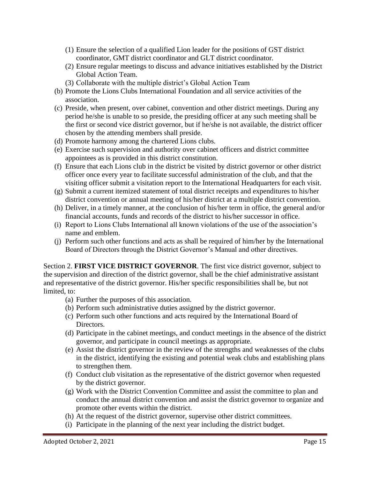- (1) Ensure the selection of a qualified Lion leader for the positions of GST district coordinator, GMT district coordinator and GLT district coordinator.
- (2) Ensure regular meetings to discuss and advance initiatives established by the District Global Action Team.
- (3) Collaborate with the multiple district's Global Action Team
- (b) Promote the Lions Clubs International Foundation and all service activities of the association.
- (c) Preside, when present, over cabinet, convention and other district meetings. During any period he/she is unable to so preside, the presiding officer at any such meeting shall be the first or second vice district governor, but if he/she is not available, the district officer chosen by the attending members shall preside.
- (d) Promote harmony among the chartered Lions clubs.
- (e) Exercise such supervision and authority over cabinet officers and district committee appointees as is provided in this district constitution.
- (f) Ensure that each Lions club in the district be visited by district governor or other district officer once every year to facilitate successful administration of the club, and that the visiting officer submit a visitation report to the International Headquarters for each visit.
- (g) Submit a current itemized statement of total district receipts and expenditures to his/her district convention or annual meeting of his/her district at a multiple district convention.
- (h) Deliver, in a timely manner, at the conclusion of his/her term in office, the general and/or financial accounts, funds and records of the district to his/her successor in office.
- (i) Report to Lions Clubs International all known violations of the use of the association's name and emblem.
- (j) Perform such other functions and acts as shall be required of him/her by the International Board of Directors through the District Governor's Manual and other directives.

Section 2. **FIRST VICE DISTRICT GOVERNOR**. The first vice district governor, subject to the supervision and direction of the district governor, shall be the chief administrative assistant and representative of the district governor. His/her specific responsibilities shall be, but not limited, to:

- (a) Further the purposes of this association.
- (b) Perform such administrative duties assigned by the district governor.
- (c) Perform such other functions and acts required by the International Board of Directors.
- (d) Participate in the cabinet meetings, and conduct meetings in the absence of the district governor, and participate in council meetings as appropriate.
- (e) Assist the district governor in the review of the strengths and weaknesses of the clubs in the district, identifying the existing and potential weak clubs and establishing plans to strengthen them.
- (f) Conduct club visitation as the representative of the district governor when requested by the district governor.
- (g) Work with the District Convention Committee and assist the committee to plan and conduct the annual district convention and assist the district governor to organize and promote other events within the district.
- (h) At the request of the district governor, supervise other district committees.
- (i) Participate in the planning of the next year including the district budget.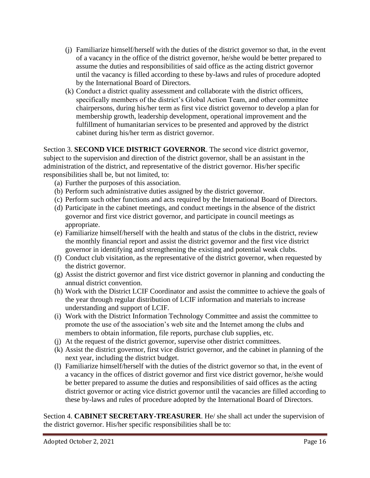- (j) Familiarize himself/herself with the duties of the district governor so that, in the event of a vacancy in the office of the district governor, he/she would be better prepared to assume the duties and responsibilities of said office as the acting district governor until the vacancy is filled according to these by-laws and rules of procedure adopted by the International Board of Directors.
- (k) Conduct a district quality assessment and collaborate with the district officers, specifically members of the district's Global Action Team, and other committee chairpersons, during his/her term as first vice district governor to develop a plan for membership growth, leadership development, operational improvement and the fulfillment of humanitarian services to be presented and approved by the district cabinet during his/her term as district governor.

Section 3. **SECOND VICE DISTRICT GOVERNOR**. The second vice district governor, subject to the supervision and direction of the district governor, shall be an assistant in the administration of the district, and representative of the district governor. His/her specific responsibilities shall be, but not limited, to:

- (a) Further the purposes of this association.
- (b) Perform such administrative duties assigned by the district governor.
- (c) Perform such other functions and acts required by the International Board of Directors.
- (d) Participate in the cabinet meetings, and conduct meetings in the absence of the district governor and first vice district governor, and participate in council meetings as appropriate.
- (e) Familiarize himself/herself with the health and status of the clubs in the district, review the monthly financial report and assist the district governor and the first vice district governor in identifying and strengthening the existing and potential weak clubs.
- (f) Conduct club visitation, as the representative of the district governor, when requested by the district governor.
- (g) Assist the district governor and first vice district governor in planning and conducting the annual district convention.
- (h) Work with the District LCIF Coordinator and assist the committee to achieve the goals of the year through regular distribution of LCIF information and materials to increase understanding and support of LCIF.
- (i) Work with the District Information Technology Committee and assist the committee to promote the use of the association's web site and the Internet among the clubs and members to obtain information, file reports, purchase club supplies, etc.
- (j) At the request of the district governor, supervise other district committees.
- (k) Assist the district governor, first vice district governor, and the cabinet in planning of the next year, including the district budget.
- (l) Familiarize himself/herself with the duties of the district governor so that, in the event of a vacancy in the offices of district governor and first vice district governor, he/she would be better prepared to assume the duties and responsibilities of said offices as the acting district governor or acting vice district governor until the vacancies are filled according to these by-laws and rules of procedure adopted by the International Board of Directors.

Section 4. **CABINET SECRETARY-TREASURER**. He/ she shall act under the supervision of the district governor. His/her specific responsibilities shall be to: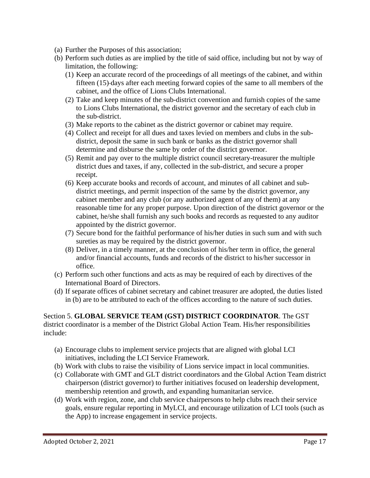- (a) Further the Purposes of this association;
- (b) Perform such duties as are implied by the title of said office, including but not by way of limitation, the following:
	- (1) Keep an accurate record of the proceedings of all meetings of the cabinet, and within fifteen (15) days after each meeting forward copies of the same to all members of the cabinet, and the office of Lions Clubs International.
	- (2) Take and keep minutes of the sub-district convention and furnish copies of the same to Lions Clubs International, the district governor and the secretary of each club in the sub-district.
	- (3) Make reports to the cabinet as the district governor or cabinet may require.
	- (4) Collect and receipt for all dues and taxes levied on members and clubs in the subdistrict, deposit the same in such bank or banks as the district governor shall determine and disburse the same by order of the district governor.
	- (5) Remit and pay over to the multiple district council secretary-treasurer the multiple district dues and taxes, if any, collected in the sub-district, and secure a proper receipt.
	- (6) Keep accurate books and records of account, and minutes of all cabinet and subdistrict meetings, and permit inspection of the same by the district governor, any cabinet member and any club (or any authorized agent of any of them) at any reasonable time for any proper purpose. Upon direction of the district governor or the cabinet, he/she shall furnish any such books and records as requested to any auditor appointed by the district governor.
	- (7) Secure bond for the faithful performance of his/her duties in such sum and with such sureties as may be required by the district governor.
	- (8) Deliver, in a timely manner, at the conclusion of his/her term in office, the general and/or financial accounts, funds and records of the district to his/her successor in office.
- (c) Perform such other functions and acts as may be required of each by directives of the International Board of Directors.
- (d) If separate offices of cabinet secretary and cabinet treasurer are adopted, the duties listed in (b) are to be attributed to each of the offices according to the nature of such duties.

Section 5. **GLOBAL SERVICE TEAM (GST) DISTRICT COORDINATOR**. The GST district coordinator is a member of the District Global Action Team. His/her responsibilities include:

- (a) Encourage clubs to implement service projects that are aligned with global LCI initiatives, including the LCI Service Framework.
- (b) Work with clubs to raise the visibility of Lions service impact in local communities.
- (c) Collaborate with GMT and GLT district coordinators and the Global Action Team district chairperson (district governor) to further initiatives focused on leadership development, membership retention and growth, and expanding humanitarian service.
- (d) Work with region, zone, and club service chairpersons to help clubs reach their service goals, ensure regular reporting in MyLCI, and encourage utilization of LCI tools (such as the App) to increase engagement in service projects.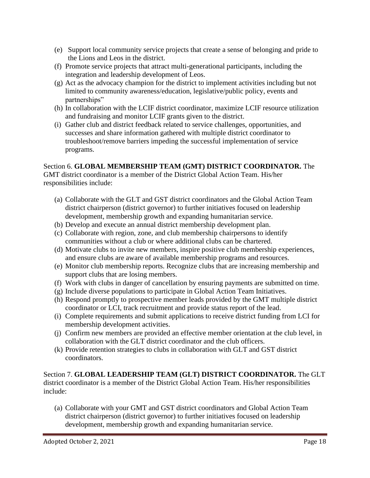- (e) Support local community service projects that create a sense of belonging and pride to the Lions and Leos in the district.
- (f) Promote service projects that attract multi-generational participants, including the integration and leadership development of Leos.
- (g) Act as the advocacy champion for the district to implement activities including but not limited to community awareness/education, legislative/public policy, events and partnerships"
- (h) In collaboration with the LCIF district coordinator, maximize LCIF resource utilization and fundraising and monitor LCIF grants given to the district.
- (i) Gather club and district feedback related to service challenges, opportunities, and successes and share information gathered with multiple district coordinator to troubleshoot/remove barriers impeding the successful implementation of service programs.

## Section 6. **GLOBAL MEMBERSHIP TEAM (GMT) DISTRICT COORDINATOR.** The

GMT district coordinator is a member of the District Global Action Team. His/her responsibilities include:

- (a) Collaborate with the GLT and GST district coordinators and the Global Action Team district chairperson (district governor) to further initiatives focused on leadership development, membership growth and expanding humanitarian service.
- (b) Develop and execute an annual district membership development plan.
- (c) Collaborate with region, zone, and club membership chairpersons to identify communities without a club or where additional clubs can be chartered.
- (d) Motivate clubs to invite new members, inspire positive club membership experiences, and ensure clubs are aware of available membership programs and resources.
- (e) Monitor club membership reports. Recognize clubs that are increasing membership and support clubs that are losing members.
- (f) Work with clubs in danger of cancellation by ensuring payments are submitted on time.
- (g) Include diverse populations to participate in Global Action Team Initiatives.
- (h) Respond promptly to prospective member leads provided by the GMT multiple district coordinator or LCI, track recruitment and provide status report of the lead.
- (i) Complete requirements and submit applications to receive district funding from LCI for membership development activities.
- (j) Confirm new members are provided an effective member orientation at the club level, in collaboration with the GLT district coordinator and the club officers.
- (k) Provide retention strategies to clubs in collaboration with GLT and GST district coordinators.

Section 7. **GLOBAL LEADERSHIP TEAM (GLT) DISTRICT COORDINATOR.** The GLT district coordinator is a member of the District Global Action Team. His/her responsibilities include:

(a) Collaborate with your GMT and GST district coordinators and Global Action Team district chairperson (district governor) to further initiatives focused on leadership development, membership growth and expanding humanitarian service.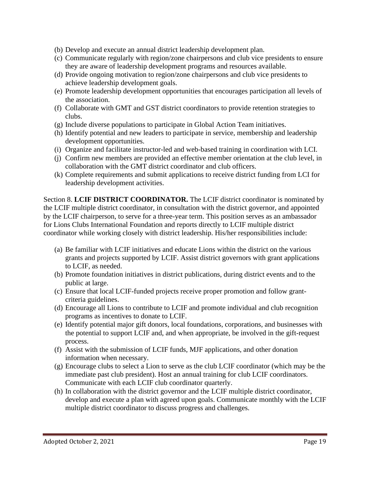- (b) Develop and execute an annual district leadership development plan.
- (c) Communicate regularly with region/zone chairpersons and club vice presidents to ensure they are aware of leadership development programs and resources available.
- (d) Provide ongoing motivation to region/zone chairpersons and club vice presidents to achieve leadership development goals.
- (e) Promote leadership development opportunities that encourages participation all levels of the association.
- (f) Collaborate with GMT and GST district coordinators to provide retention strategies to clubs.
- (g) Include diverse populations to participate in Global Action Team initiatives.
- (h) Identify potential and new leaders to participate in service, membership and leadership development opportunities.
- (i) Organize and facilitate instructor-led and web-based training in coordination with LCI.
- (j) Confirm new members are provided an effective member orientation at the club level, in collaboration with the GMT district coordinator and club officers.
- (k) Complete requirements and submit applications to receive district funding from LCI for leadership development activities.

Section 8. **LCIF DISTRICT COORDINATOR.** The LCIF district coordinator is nominated by the LCIF multiple district coordinator, in consultation with the district governor, and appointed by the LCIF chairperson, to serve for a three-year term. This position serves as an ambassador for Lions Clubs International Foundation and reports directly to LCIF multiple district coordinator while working closely with district leadership. His/her responsibilities include:

- (a) Be familiar with LCIF initiatives and educate Lions within the district on the various grants and projects supported by LCIF. Assist district governors with grant applications to LCIF, as needed.
- (b) Promote foundation initiatives in district publications, during district events and to the public at large.
- (c) Ensure that local LCIF-funded projects receive proper promotion and follow grantcriteria guidelines.
- (d) Encourage all Lions to contribute to LCIF and promote individual and club recognition programs as incentives to donate to LCIF.
- (e) Identify potential major gift donors, local foundations, corporations, and businesses with the potential to support LCIF and, and when appropriate, be involved in the gift-request process.
- (f) Assist with the submission of LCIF funds, MJF applications, and other donation information when necessary.
- (g) Encourage clubs to select a Lion to serve as the club LCIF coordinator (which may be the immediate past club president). Host an annual training for club LCIF coordinators. Communicate with each LCIF club coordinator quarterly.
- (h) In collaboration with the district governor and the LCIF multiple district coordinator, develop and execute a plan with agreed upon goals. Communicate monthly with the LCIF multiple district coordinator to discuss progress and challenges.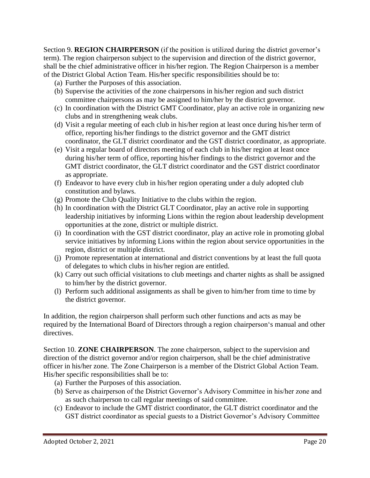Section 9. **REGION CHAIRPERSON** (if the position is utilized during the district governor's term). The region chairperson subject to the supervision and direction of the district governor, shall be the chief administrative officer in his/her region. The Region Chairperson is a member of the District Global Action Team. His/her specific responsibilities should be to:

- (a) Further the Purposes of this association.
- (b) Supervise the activities of the zone chairpersons in his/her region and such district committee chairpersons as may be assigned to him/her by the district governor.
- (c) In coordination with the District GMT Coordinator, play an active role in organizing new clubs and in strengthening weak clubs.
- (d) Visit a regular meeting of each club in his/her region at least once during his/her term of office, reporting his/her findings to the district governor and the GMT district coordinator, the GLT district coordinator and the GST district coordinator, as appropriate.
- (e) Visit a regular board of directors meeting of each club in his/her region at least once during his/her term of office, reporting his/her findings to the district governor and the GMT district coordinator, the GLT district coordinator and the GST district coordinator as appropriate.
- (f) Endeavor to have every club in his/her region operating under a duly adopted club constitution and bylaws.
- (g) Promote the Club Quality Initiative to the clubs within the region.
- (h) In coordination with the District GLT Coordinator, play an active role in supporting leadership initiatives by informing Lions within the region about leadership development opportunities at the zone, district or multiple district.
- (i) In coordination with the GST district coordinator, play an active role in promoting global service initiatives by informing Lions within the region about service opportunities in the region, district or multiple district.
- (j) Promote representation at international and district conventions by at least the full quota of delegates to which clubs in his/her region are entitled.
- (k) Carry out such official visitations to club meetings and charter nights as shall be assigned to him/her by the district governor.
- (l) Perform such additional assignments as shall be given to him/her from time to time by the district governor.

In addition, the region chairperson shall perform such other functions and acts as may be required by the International Board of Directors through a region chairperson's manual and other directives.

Section 10. **ZONE CHAIRPERSON**. The zone chairperson, subject to the supervision and direction of the district governor and/or region chairperson, shall be the chief administrative officer in his/her zone. The Zone Chairperson is a member of the District Global Action Team. His/her specific responsibilities shall be to:

- (a) Further the Purposes of this association.
- (b) Serve as chairperson of the District Governor's Advisory Committee in his/her zone and as such chairperson to call regular meetings of said committee.
- (c) Endeavor to include the GMT district coordinator, the GLT district coordinator and the GST district coordinator as special guests to a District Governor's Advisory Committee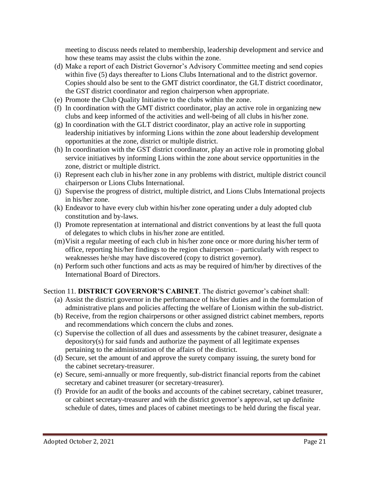meeting to discuss needs related to membership, leadership development and service and how these teams may assist the clubs within the zone.

- (d) Make a report of each District Governor's Advisory Committee meeting and send copies within five (5) days thereafter to Lions Clubs International and to the district governor. Copies should also be sent to the GMT district coordinator, the GLT district coordinator, the GST district coordinator and region chairperson when appropriate.
- (e) Promote the Club Quality Initiative to the clubs within the zone.
- (f) In coordination with the GMT district coordinator, play an active role in organizing new clubs and keep informed of the activities and well-being of all clubs in his/her zone.
- (g) In coordination with the GLT district coordinator, play an active role in supporting leadership initiatives by informing Lions within the zone about leadership development opportunities at the zone, district or multiple district.
- (h) In coordination with the GST district coordinator, play an active role in promoting global service initiatives by informing Lions within the zone about service opportunities in the zone, district or multiple district.
- (i) Represent each club in his/her zone in any problems with district, multiple district council chairperson or Lions Clubs International.
- (j) Supervise the progress of district, multiple district, and Lions Clubs International projects in his/her zone.
- (k) Endeavor to have every club within his/her zone operating under a duly adopted club constitution and by-laws.
- (l) Promote representation at international and district conventions by at least the full quota of delegates to which clubs in his/her zone are entitled.
- (m)Visit a regular meeting of each club in his/her zone once or more during his/her term of office, reporting his/her findings to the region chairperson – particularly with respect to weaknesses he/she may have discovered (copy to district governor).
- (n) Perform such other functions and acts as may be required of him/her by directives of the International Board of Directors.

Section 11. **DISTRICT GOVERNOR'S CABINET**. The district governor's cabinet shall:

- (a) Assist the district governor in the performance of his/her duties and in the formulation of administrative plans and policies affecting the welfare of Lionism within the sub-district.
- (b) Receive, from the region chairpersons or other assigned district cabinet members, reports and recommendations which concern the clubs and zones.
- (c) Supervise the collection of all dues and assessments by the cabinet treasurer, designate a depository(s) for said funds and authorize the payment of all legitimate expenses pertaining to the administration of the affairs of the district.
- (d) Secure, set the amount of and approve the surety company issuing, the surety bond for the cabinet secretary-treasurer.
- (e) Secure, semi-annually or more frequently, sub-district financial reports from the cabinet secretary and cabinet treasurer (or secretary-treasurer).
- (f) Provide for an audit of the books and accounts of the cabinet secretary, cabinet treasurer, or cabinet secretary-treasurer and with the district governor's approval, set up definite schedule of dates, times and places of cabinet meetings to be held during the fiscal year.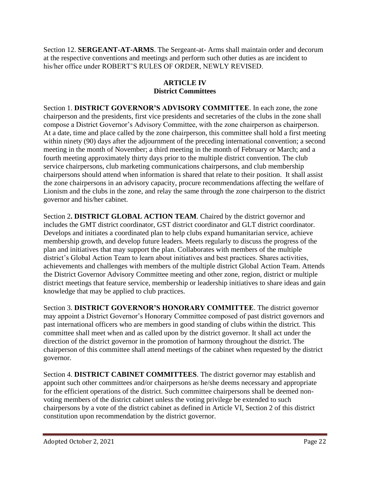Section 12. **SERGEANT-AT-ARMS**. The Sergeant-at- Arms shall maintain order and decorum at the respective conventions and meetings and perform such other duties as are incident to his/her office under ROBERT'S RULES OF ORDER, NEWLY REVISED.

## **ARTICLE IV District Committees**

Section 1. **DISTRICT GOVERNOR'S ADVISORY COMMITTEE**. In each zone, the zone chairperson and the presidents, first vice presidents and secretaries of the clubs in the zone shall compose a District Governor's Advisory Committee, with the zone chairperson as chairperson. At a date, time and place called by the zone chairperson, this committee shall hold a first meeting within ninety (90) days after the adjournment of the preceding international convention; a second meeting in the month of November; a third meeting in the month of February or March; and a fourth meeting approximately thirty days prior to the multiple district convention. The club service chairpersons, club marketing communications chairpersons, and club membership chairpersons should attend when information is shared that relate to their position. It shall assist the zone chairpersons in an advisory capacity, procure recommendations affecting the welfare of Lionism and the clubs in the zone, and relay the same through the zone chairperson to the district governor and his/her cabinet.

Section 2**. DISTRICT GLOBAL ACTION TEAM**. Chaired by the district governor and includes the GMT district coordinator, GST district coordinator and GLT district coordinator. Develops and initiates a coordinated plan to help clubs expand humanitarian service, achieve membership growth, and develop future leaders. Meets regularly to discuss the progress of the plan and initiatives that may support the plan. Collaborates with members of the multiple district's Global Action Team to learn about initiatives and best practices. Shares activities, achievements and challenges with members of the multiple district Global Action Team. Attends the District Governor Advisory Committee meeting and other zone, region, district or multiple district meetings that feature service, membership or leadership initiatives to share ideas and gain knowledge that may be applied to club practices.

Section 3. **DISTRICT GOVERNOR'S HONORARY COMMITTEE**. The district governor may appoint a District Governor's Honorary Committee composed of past district governors and past international officers who are members in good standing of clubs within the district. This committee shall meet when and as called upon by the district governor. It shall act under the direction of the district governor in the promotion of harmony throughout the district. The chairperson of this committee shall attend meetings of the cabinet when requested by the district governor.

Section 4. **DISTRICT CABINET COMMITTEES**. The district governor may establish and appoint such other committees and/or chairpersons as he/she deems necessary and appropriate for the efficient operations of the district. Such committee chairpersons shall be deemed nonvoting members of the district cabinet unless the voting privilege be extended to such chairpersons by a vote of the district cabinet as defined in Article VI, Section 2 of this district constitution upon recommendation by the district governor.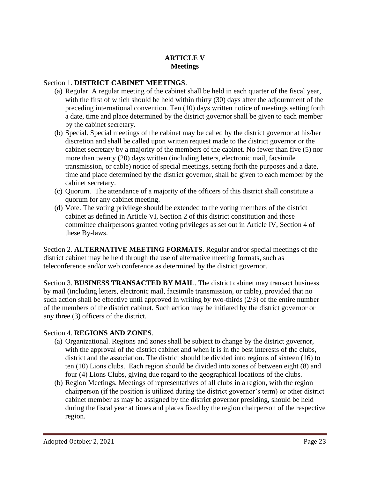## **ARTICLE V Meetings**

#### Section 1. **DISTRICT CABINET MEETINGS**.

- (a) Regular. A regular meeting of the cabinet shall be held in each quarter of the fiscal year, with the first of which should be held within thirty (30) days after the adjournment of the preceding international convention. Ten (10) days written notice of meetings setting forth a date, time and place determined by the district governor shall be given to each member by the cabinet secretary.
- (b) Special. Special meetings of the cabinet may be called by the district governor at his/her discretion and shall be called upon written request made to the district governor or the cabinet secretary by a majority of the members of the cabinet. No fewer than five (5) nor more than twenty (20) days written (including letters, electronic mail, facsimile transmission, or cable) notice of special meetings, setting forth the purposes and a date, time and place determined by the district governor, shall be given to each member by the cabinet secretary.
- (c) Quorum. The attendance of a majority of the officers of this district shall constitute a quorum for any cabinet meeting.
- (d) Vote. The voting privilege should be extended to the voting members of the district cabinet as defined in Article VI, Section 2 of this district constitution and those committee chairpersons granted voting privileges as set out in Article IV, Section 4 of these By-laws.

Section 2. **ALTERNATIVE MEETING FORMATS**. Regular and/or special meetings of the district cabinet may be held through the use of alternative meeting formats, such as teleconference and/or web conference as determined by the district governor.

Section 3. **BUSINESS TRANSACTED BY MAIL**. The district cabinet may transact business by mail (including letters, electronic mail, facsimile transmission, or cable), provided that no such action shall be effective until approved in writing by two-thirds (2/3) of the entire number of the members of the district cabinet. Such action may be initiated by the district governor or any three (3) officers of the district.

#### Section 4. **REGIONS AND ZONES**.

- (a) Organizational. Regions and zones shall be subject to change by the district governor, with the approval of the district cabinet and when it is in the best interests of the clubs, district and the association. The district should be divided into regions of sixteen (16) to ten (10) Lions clubs. Each region should be divided into zones of between eight (8) and four (4) Lions Clubs, giving due regard to the geographical locations of the clubs.
- (b) Region Meetings. Meetings of representatives of all clubs in a region, with the region chairperson (if the position is utilized during the district governor's term) or other district cabinet member as may be assigned by the district governor presiding, should be held during the fiscal year at times and places fixed by the region chairperson of the respective region.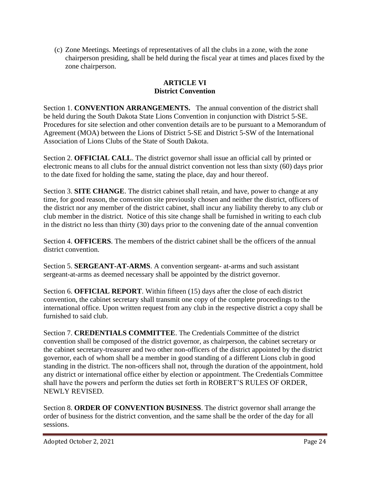(c) Zone Meetings. Meetings of representatives of all the clubs in a zone, with the zone chairperson presiding, shall be held during the fiscal year at times and places fixed by the zone chairperson.

#### **ARTICLE VI District Convention**

Section 1. **CONVENTION ARRANGEMENTS.** The annual convention of the district shall be held during the South Dakota State Lions Convention in conjunction with District 5-SE. Procedures for site selection and other convention details are to be pursuant to a Memorandum of Agreement (MOA) between the Lions of District 5-SE and District 5-SW of the International Association of Lions Clubs of the State of South Dakota.

Section 2. **OFFICIAL CALL**. The district governor shall issue an official call by printed or electronic means to all clubs for the annual district convention not less than sixty (60) days prior to the date fixed for holding the same, stating the place, day and hour thereof.

Section 3. **SITE CHANGE**. The district cabinet shall retain, and have, power to change at any time, for good reason, the convention site previously chosen and neither the district, officers of the district nor any member of the district cabinet, shall incur any liability thereby to any club or club member in the district. Notice of this site change shall be furnished in writing to each club in the district no less than thirty (30) days prior to the convening date of the annual convention

Section 4. **OFFICERS**. The members of the district cabinet shall be the officers of the annual district convention.

Section 5. **SERGEANT-AT-ARMS**. A convention sergeant- at-arms and such assistant sergeant-at-arms as deemed necessary shall be appointed by the district governor.

Section 6. **OFFICIAL REPORT**. Within fifteen (15) days after the close of each district convention, the cabinet secretary shall transmit one copy of the complete proceedings to the international office. Upon written request from any club in the respective district a copy shall be furnished to said club.

Section 7. **CREDENTIALS COMMITTEE**. The Credentials Committee of the district convention shall be composed of the district governor, as chairperson, the cabinet secretary or the cabinet secretary-treasurer and two other non-officers of the district appointed by the district governor, each of whom shall be a member in good standing of a different Lions club in good standing in the district. The non-officers shall not, through the duration of the appointment, hold any district or international office either by election or appointment. The Credentials Committee shall have the powers and perform the duties set forth in ROBERT'S RULES OF ORDER, NEWLY REVISED.

Section 8. **ORDER OF CONVENTION BUSINESS**. The district governor shall arrange the order of business for the district convention, and the same shall be the order of the day for all sessions.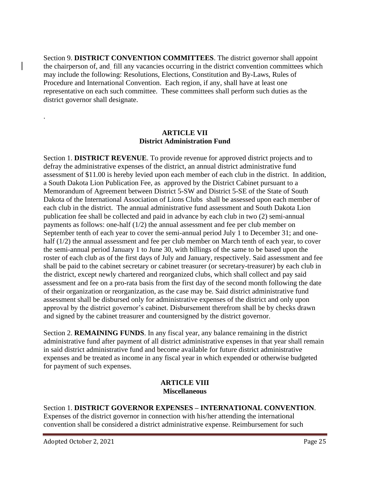Section 9. **DISTRICT CONVENTION COMMITTEES**. The district governor shall appoint the chairperson of, and fill any vacancies occurring in the district convention committees which may include the following: Resolutions, Elections, Constitution and By-Laws, Rules of Procedure and International Convention. Each region, if any, shall have at least one representative on each such committee. These committees shall perform such duties as the district governor shall designate.

#### **ARTICLE VII District Administration Fund**

Section 1. **DISTRICT REVENUE**. To provide revenue for approved district projects and to defray the administrative expenses of the district, an annual district administrative fund assessment of \$11.00 is hereby levied upon each member of each club in the district. In addition, a South Dakota Lion Publication Fee, as approved by the District Cabinet pursuant to a Memorandum of Agreement between District 5-SW and District 5-SE of the State of South Dakota of the International Association of Lions Clubs shall be assessed upon each member of each club in the district. The annual administrative fund assessment and South Dakota Lion publication fee shall be collected and paid in advance by each club in two (2) semi-annual payments as follows: one-half (1/2) the annual assessment and fee per club member on September tenth of each year to cover the semi-annual period July 1 to December 31; and onehalf (1/2) the annual assessment and fee per club member on March tenth of each year, to cover the semi-annual period January 1 to June 30, with billings of the same to be based upon the roster of each club as of the first days of July and January, respectively. Said assessment and fee shall be paid to the cabinet secretary or cabinet treasurer (or secretary-treasurer) by each club in the district, except newly chartered and reorganized clubs, which shall collect and pay said assessment and fee on a pro-rata basis from the first day of the second month following the date of their organization or reorganization, as the case may be. Said district administrative fund assessment shall be disbursed only for administrative expenses of the district and only upon approval by the district governor's cabinet. Disbursement therefrom shall be by checks drawn and signed by the cabinet treasurer and countersigned by the district governor.

Section 2. **REMAINING FUNDS**. In any fiscal year, any balance remaining in the district administrative fund after payment of all district administrative expenses in that year shall remain in said district administrative fund and become available for future district administrative expenses and be treated as income in any fiscal year in which expended or otherwise budgeted for payment of such expenses.

#### **ARTICLE VIII Miscellaneous**

Section 1. **DISTRICT GOVERNOR EXPENSES – INTERNATIONAL CONVENTION**. Expenses of the district governor in connection with his/her attending the international convention shall be considered a district administrative expense. Reimbursement for such

.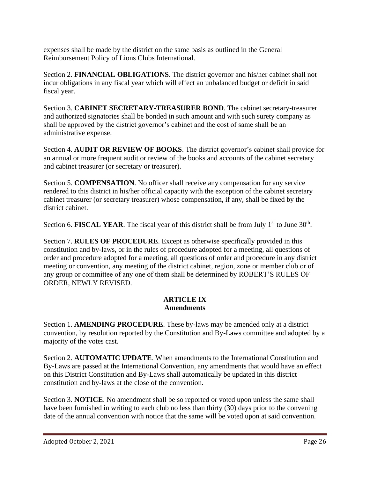expenses shall be made by the district on the same basis as outlined in the General Reimbursement Policy of Lions Clubs International.

Section 2. **FINANCIAL OBLIGATIONS**. The district governor and his/her cabinet shall not incur obligations in any fiscal year which will effect an unbalanced budget or deficit in said fiscal year.

Section 3. **CABINET SECRETARY-TREASURER BOND**. The cabinet secretary-treasurer and authorized signatories shall be bonded in such amount and with such surety company as shall be approved by the district governor's cabinet and the cost of same shall be an administrative expense.

Section 4. **AUDIT OR REVIEW OF BOOKS**. The district governor's cabinet shall provide for an annual or more frequent audit or review of the books and accounts of the cabinet secretary and cabinet treasurer (or secretary or treasurer).

Section 5. **COMPENSATION**. No officer shall receive any compensation for any service rendered to this district in his/her official capacity with the exception of the cabinet secretary cabinet treasurer (or secretary treasurer) whose compensation, if any, shall be fixed by the district cabinet.

Section 6. **FISCAL YEAR**. The fiscal year of this district shall be from July  $1<sup>st</sup>$  to June  $30<sup>th</sup>$ .

Section 7. **RULES OF PROCEDURE**. Except as otherwise specifically provided in this constitution and by-laws, or in the rules of procedure adopted for a meeting, all questions of order and procedure adopted for a meeting, all questions of order and procedure in any district meeting or convention, any meeting of the district cabinet, region, zone or member club or of any group or committee of any one of them shall be determined by ROBERT'S RULES OF ORDER, NEWLY REVISED.

## **ARTICLE IX Amendments**

Section 1. **AMENDING PROCEDURE**. These by-laws may be amended only at a district convention, by resolution reported by the Constitution and By-Laws committee and adopted by a majority of the votes cast.

Section 2. **AUTOMATIC UPDATE**. When amendments to the International Constitution and By-Laws are passed at the International Convention, any amendments that would have an effect on this District Constitution and By-Laws shall automatically be updated in this district constitution and by-laws at the close of the convention.

Section 3. **NOTICE**. No amendment shall be so reported or voted upon unless the same shall have been furnished in writing to each club no less than thirty (30) days prior to the convening date of the annual convention with notice that the same will be voted upon at said convention.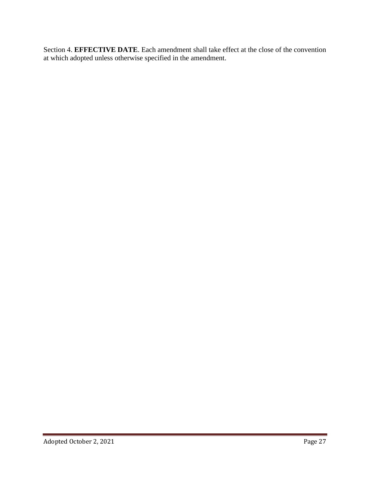Section 4. **EFFECTIVE DATE**. Each amendment shall take effect at the close of the convention at which adopted unless otherwise specified in the amendment.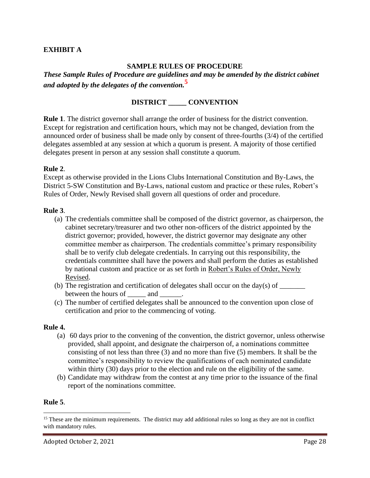## **EXHIBIT A**

#### **SAMPLE RULES OF PROCEDURE**

*These Sample Rules of Procedure are guidelines and may be amended by the district cabinet and adopted by the delegates of the convention.***<sup>5</sup>**

#### **DISTRICT \_\_\_\_\_ CONVENTION**

**Rule 1**. The district governor shall arrange the order of business for the district convention. Except for registration and certification hours, which may not be changed, deviation from the announced order of business shall be made only by consent of three-fourths (3/4) of the certified delegates assembled at any session at which a quorum is present. A majority of those certified delegates present in person at any session shall constitute a quorum.

#### **Rule 2**.

Except as otherwise provided in the Lions Clubs International Constitution and By-Laws, the District 5-SW Constitution and By-Laws, national custom and practice or these rules, Robert's Rules of Order, Newly Revised shall govern all questions of order and procedure.

#### **Rule 3**.

- (a) The credentials committee shall be composed of the district governor, as chairperson, the cabinet secretary/treasurer and two other non-officers of the district appointed by the district governor; provided, however, the district governor may designate any other committee member as chairperson. The credentials committee's primary responsibility shall be to verify club delegate credentials. In carrying out this responsibility, the credentials committee shall have the powers and shall perform the duties as established by national custom and practice or as set forth in Robert's Rules of Order, Newly Revised.
- (b) The registration and certification of delegates shall occur on the day(s) of  $\frac{1}{\sqrt{2}}$ between the hours of and  $\qquad$ .
- (c) The number of certified delegates shall be announced to the convention upon close of certification and prior to the commencing of voting.

#### **Rule 4.**

- (a) 60 days prior to the convening of the convention, the district governor, unless otherwise provided, shall appoint, and designate the chairperson of, a nominations committee consisting of not less than three (3) and no more than five (5) members. It shall be the committee's responsibility to review the qualifications of each nominated candidate within thirty (30) days prior to the election and rule on the eligibility of the same.
- (b) Candidate may withdraw from the contest at any time prior to the issuance of the final report of the nominations committee.

#### **Rule 5**.

 $15$  These are the minimum requirements. The district may add additional rules so long as they are not in conflict with mandatory rules.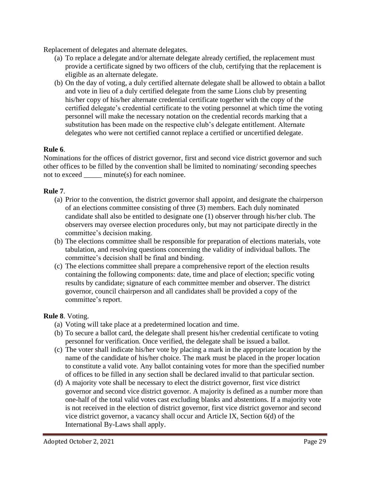Replacement of delegates and alternate delegates.

- (a) To replace a delegate and/or alternate delegate already certified, the replacement must provide a certificate signed by two officers of the club, certifying that the replacement is eligible as an alternate delegate.
- (b) On the day of voting, a duly certified alternate delegate shall be allowed to obtain a ballot and vote in lieu of a duly certified delegate from the same Lions club by presenting his/her copy of his/her alternate credential certificate together with the copy of the certified delegate's credential certificate to the voting personnel at which time the voting personnel will make the necessary notation on the credential records marking that a substitution has been made on the respective club's delegate entitlement. Alternate delegates who were not certified cannot replace a certified or uncertified delegate.

### **Rule 6**.

Nominations for the offices of district governor, first and second vice district governor and such other offices to be filled by the convention shall be limited to nominating/ seconding speeches not to exceed \_\_\_\_\_ minute(s) for each nominee.

## **Rule 7**.

- (a) Prior to the convention, the district governor shall appoint, and designate the chairperson of an elections committee consisting of three (3) members. Each duly nominated candidate shall also be entitled to designate one (1) observer through his/her club. The observers may oversee election procedures only, but may not participate directly in the committee's decision making.
- (b) The elections committee shall be responsible for preparation of elections materials, vote tabulation, and resolving questions concerning the validity of individual ballots. The committee's decision shall be final and binding.
- (c) The elections committee shall prepare a comprehensive report of the election results containing the following components: date, time and place of election; specific voting results by candidate; signature of each committee member and observer. The district governor, council chairperson and all candidates shall be provided a copy of the committee's report.

### **Rule 8**. Voting.

- (a) Voting will take place at a predetermined location and time.
- (b) To secure a ballot card, the delegate shall present his/her credential certificate to voting personnel for verification. Once verified, the delegate shall be issued a ballot.
- (c) The voter shall indicate his/her vote by placing a mark in the appropriate location by the name of the candidate of his/her choice. The mark must be placed in the proper location to constitute a valid vote. Any ballot containing votes for more than the specified number of offices to be filled in any section shall be declared invalid to that particular section.
- (d) A majority vote shall be necessary to elect the district governor, first vice district governor and second vice district governor. A majority is defined as a number more than one-half of the total valid votes cast excluding blanks and abstentions. If a majority vote is not received in the election of district governor, first vice district governor and second vice district governor, a vacancy shall occur and Article IX, Section 6(d) of the International By-Laws shall apply.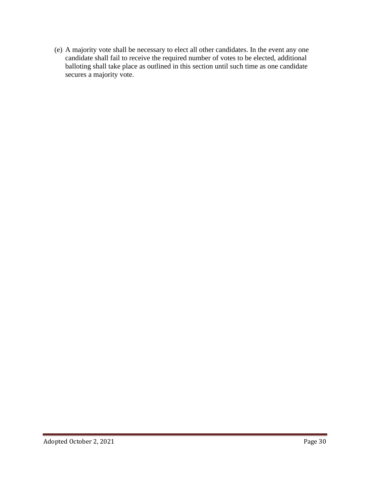(e) A majority vote shall be necessary to elect all other candidates. In the event any one candidate shall fail to receive the required number of votes to be elected, additional balloting shall take place as outlined in this section until such time as one candidate secures a majority vote.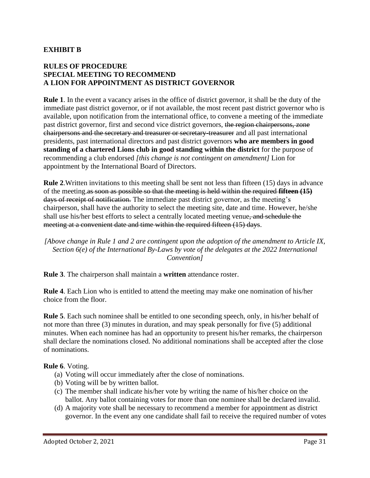### **EXHIBIT B**

## **RULES OF PROCEDURE SPECIAL MEETING TO RECOMMEND A LION FOR APPOINTMENT AS DISTRICT GOVERNOR**

**Rule 1**. In the event a vacancy arises in the office of district governor, it shall be the duty of the immediate past district governor, or if not available, the most recent past district governor who is available, upon notification from the international office, to convene a meeting of the immediate past district governor, first and second vice district governors, the region chairpersons, zone chairpersons and the secretary and treasurer or secretary-treasurer and all past international presidents, past international directors and past district governors **who are members in good standing of a chartered Lions club in good standing within the district** for the purpose of recommending a club endorsed *[this change is not contingent on amendment]* Lion for appointment by the International Board of Directors.

**Rule 2**.Written invitations to this meeting shall be sent not less than fifteen (15) days in advance of the meeting.as soon as possible so that the meeting is held within the required **fifteen (15)** days of receipt of notification. The immediate past district governor, as the meeting's chairperson, shall have the authority to select the meeting site, date and time. However, he/she shall use his/her best efforts to select a centrally located meeting venue, and schedule the meeting at a convenient date and time within the required fifteen (15) days.

*[Above change in Rule 1 and 2 are contingent upon the adoption of the amendment to Article IX, Section 6(e) of the International By-Laws by vote of the delegates at the 2022 International Convention]*

**Rule 3**. The chairperson shall maintain a **written** attendance roster.

**Rule 4**. Each Lion who is entitled to attend the meeting may make one nomination of his/her choice from the floor.

**Rule 5**. Each such nominee shall be entitled to one seconding speech, only, in his/her behalf of not more than three (3) minutes in duration, and may speak personally for five (5) additional minutes. When each nominee has had an opportunity to present his/her remarks, the chairperson shall declare the nominations closed. No additional nominations shall be accepted after the close of nominations.

**Rule 6**. Voting.

- (a) Voting will occur immediately after the close of nominations.
- (b) Voting will be by written ballot.
- (c) The member shall indicate his/her vote by writing the name of his/her choice on the ballot. Any ballot containing votes for more than one nominee shall be declared invalid.
- (d) A majority vote shall be necessary to recommend a member for appointment as district governor. In the event any one candidate shall fail to receive the required number of votes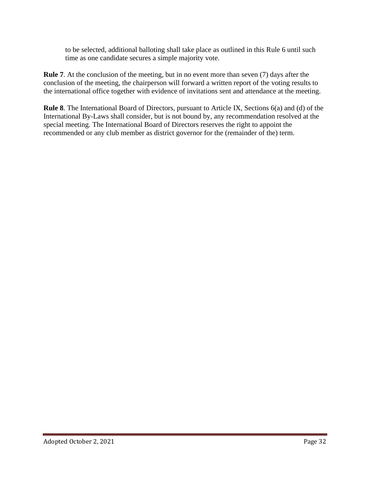to be selected, additional balloting shall take place as outlined in this Rule 6 until such time as one candidate secures a simple majority vote.

**Rule 7**. At the conclusion of the meeting, but in no event more than seven (7) days after the conclusion of the meeting, the chairperson will forward a written report of the voting results to the international office together with evidence of invitations sent and attendance at the meeting.

**Rule 8**. The International Board of Directors, pursuant to Article IX, Sections 6(a) and (d) of the International By-Laws shall consider, but is not bound by, any recommendation resolved at the special meeting. The International Board of Directors reserves the right to appoint the recommended or any club member as district governor for the (remainder of the) term.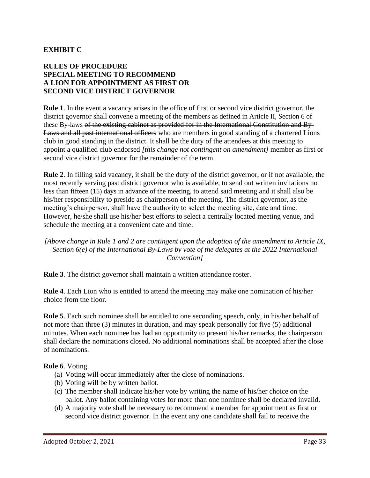## **EXHIBIT C**

## **RULES OF PROCEDURE SPECIAL MEETING TO RECOMMEND A LION FOR APPOINTMENT AS FIRST OR SECOND VICE DISTRICT GOVERNOR**

**Rule 1**. In the event a vacancy arises in the office of first or second vice district governor, the district governor shall convene a meeting of the members as defined in Article II, Section 6 of these By-laws of the existing cabinet as provided for in the International Constitution and By-Laws and all past international officers who are members in good standing of a chartered Lions club in good standing in the district. It shall be the duty of the attendees at this meeting to appoint a qualified club endorsed *[this change not contingent on amendment]* member as first or second vice district governor for the remainder of the term.

**Rule 2**. In filling said vacancy, it shall be the duty of the district governor, or if not available, the most recently serving past district governor who is available, to send out written invitations no less than fifteen (15) days in advance of the meeting, to attend said meeting and it shall also be his/her responsibility to preside as chairperson of the meeting. The district governor, as the meeting's chairperson, shall have the authority to select the meeting site, date and time. However, he/she shall use his/her best efforts to select a centrally located meeting venue, and schedule the meeting at a convenient date and time.

#### *[Above change in Rule 1 and 2 are contingent upon the adoption of the amendment to Article IX, Section 6(e) of the International By-Laws by vote of the delegates at the 2022 International Convention]*

**Rule 3**. The district governor shall maintain a written attendance roster.

**Rule 4**. Each Lion who is entitled to attend the meeting may make one nomination of his/her choice from the floor.

**Rule 5**. Each such nominee shall be entitled to one seconding speech, only, in his/her behalf of not more than three (3) minutes in duration, and may speak personally for five (5) additional minutes. When each nominee has had an opportunity to present his/her remarks, the chairperson shall declare the nominations closed. No additional nominations shall be accepted after the close of nominations.

**Rule 6**. Voting.

- (a) Voting will occur immediately after the close of nominations.
- (b) Voting will be by written ballot.
- (c) The member shall indicate his/her vote by writing the name of his/her choice on the ballot. Any ballot containing votes for more than one nominee shall be declared invalid.
- (d) A majority vote shall be necessary to recommend a member for appointment as first or second vice district governor. In the event any one candidate shall fail to receive the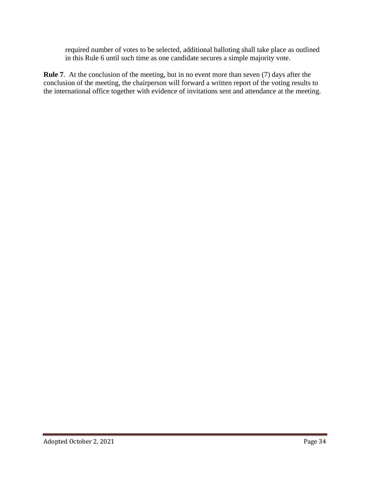required number of votes to be selected, additional balloting shall take place as outlined in this Rule 6 until such time as one candidate secures a simple majority vote.

**Rule 7**. At the conclusion of the meeting, but in no event more than seven (7) days after the conclusion of the meeting, the chairperson will forward a written report of the voting results to the international office together with evidence of invitations sent and attendance at the meeting.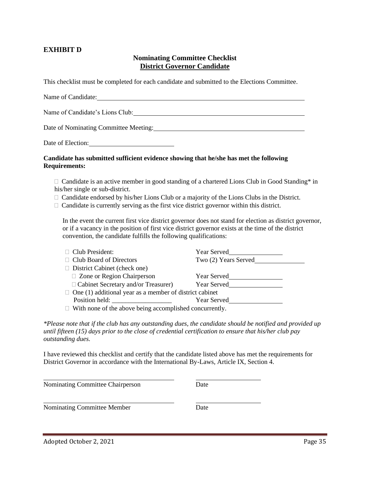## **EXHIBIT D**

#### **Nominating Committee Checklist District Governor Candidate**

This checklist must be completed for each candidate and submitted to the Elections Committee.

| Name of Candidate: Name of Candidate:                                                                         |                                                                                                                                                                                                               |
|---------------------------------------------------------------------------------------------------------------|---------------------------------------------------------------------------------------------------------------------------------------------------------------------------------------------------------------|
| Name of Candidate's Lions Club: Name of Candidate's Lions Club:                                               |                                                                                                                                                                                                               |
|                                                                                                               | Date of Nominating Committee Meeting: New York 2014 19:30 AM                                                                                                                                                  |
|                                                                                                               |                                                                                                                                                                                                               |
| Candidate has submitted sufficient evidence showing that he/she has met the following<br><b>Requirements:</b> |                                                                                                                                                                                                               |
| his/her single or sub-district.                                                                               | $\Box$ Candidate is an active member in good standing of a chartered Lions Club in Good Standing* in                                                                                                          |
| $\Box$ Candidate is currently serving as the first vice district governor within this district.               | $\Box$ Candidate endorsed by his/her Lions Club or a majority of the Lions Clubs in the District.                                                                                                             |
| convention, the candidate fulfills the following qualifications:                                              | In the event the current first vice district governor does not stand for election as district governor,<br>or if a vacancy in the position of first vice district governor exists at the time of the district |
| Club President:                                                                                               | Year Served                                                                                                                                                                                                   |
| Club Board of Directors<br>$\Box$                                                                             | Two (2) Years Served                                                                                                                                                                                          |
| $\Box$ District Cabinet (check one)                                                                           |                                                                                                                                                                                                               |

| $\Box$ Zone or Region Chairperson                              | <b>Year Served</b> |  |
|----------------------------------------------------------------|--------------------|--|
| $\Box$ Cabinet Secretary and/or Treasurer)                     | <b>Year Served</b> |  |
| $\Box$ One (1) additional year as a member of district cabinet |                    |  |
| Position held:                                                 | <b>Year Served</b> |  |

 $\Box$  With none of the above being accomplished concurrently.

*\*Please note that if the club has any outstanding dues, the candidate should be notified and provided up until fifteen (15) days prior to the close of credential certification to ensure that his/her club pay outstanding dues.* 

I have reviewed this checklist and certify that the candidate listed above has met the requirements for District Governor in accordance with the International By-Laws, Article IX, Section 4.

Nominating Committee Chairperson Date

Nominating Committee Member Date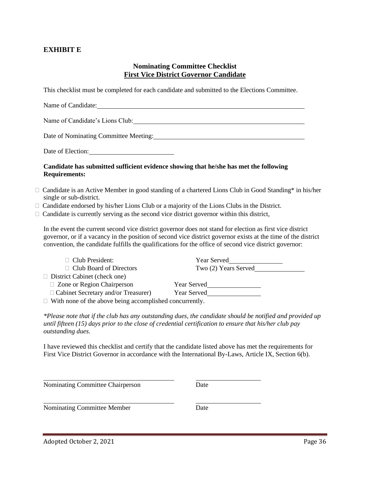## **EXHIBIT E**

#### **Nominating Committee Checklist First Vice District Governor Candidate**

This checklist must be completed for each candidate and submitted to the Elections Committee.

|                                     | Name of Candidate's Lions Club: 2008. [19] Manuscript Candidate's Lions Club:                                                                                                                                                                                                                                                        |
|-------------------------------------|--------------------------------------------------------------------------------------------------------------------------------------------------------------------------------------------------------------------------------------------------------------------------------------------------------------------------------------|
|                                     | Date of Nominating Committee Meeting: New York 2014                                                                                                                                                                                                                                                                                  |
|                                     |                                                                                                                                                                                                                                                                                                                                      |
| <b>Requirements:</b>                | Candidate has submitted sufficient evidence showing that he/she has met the following                                                                                                                                                                                                                                                |
| single or sub-district.             | $\Box$ Candidate is an Active Member in good standing of a chartered Lions Club in Good Standing* in his/her                                                                                                                                                                                                                         |
|                                     | $\Box$ Candidate endorsed by his/her Lions Club or a majority of the Lions Clubs in the District.<br>$\Box$ Candidate is currently serving as the second vice district governor within this district,                                                                                                                                |
|                                     | In the event the current second vice district governor does not stand for election as first vice district<br>governor, or if a vacancy in the position of second vice district governor exists at the time of the district<br>convention, the candidate fulfills the qualifications for the office of second vice district governor: |
| $\Box$ Club President:              | Year Served                                                                                                                                                                                                                                                                                                                          |
| $\Box$ Club Board of Directors      | Two (2) Years Served                                                                                                                                                                                                                                                                                                                 |
| $\Box$ District Cabinet (check one) |                                                                                                                                                                                                                                                                                                                                      |
| $\Box$ Zone or Region Chairperson   | Year Served                                                                                                                                                                                                                                                                                                                          |

□ Cabinet Secretary and/or Treasurer) Year Served

□ With none of the above being accomplished concurrently.

*\*Please note that if the club has any outstanding dues, the candidate should be notified and provided up until fifteen (15) days prior to the close of credential certification to ensure that his/her club pay outstanding dues.* 

I have reviewed this checklist and certify that the candidate listed above has met the requirements for First Vice District Governor in accordance with the International By-Laws, Article IX, Section 6(b).

Nominating Committee Chairperson Date

Nominating Committee Member Date

Adopted October 2, 2021 Page 36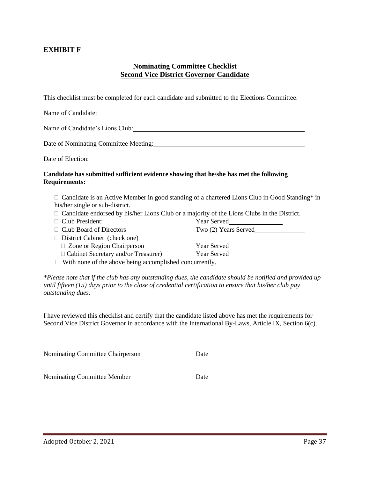#### **EXHIBIT F**

#### **Nominating Committee Checklist Second Vice District Governor Candidate**

This checklist must be completed for each candidate and submitted to the Elections Committee.

| Name of Candidate: <u>Canadian Canadian Canadian Canadian Canadian Canadian Canadian Canadian Canadian Canadian Canadian Canadian Canadian Canadian Canadian Canadian Canadian Canadian Canadian Canadian Canadian Canadian Cana</u> |                                                                                                      |
|--------------------------------------------------------------------------------------------------------------------------------------------------------------------------------------------------------------------------------------|------------------------------------------------------------------------------------------------------|
| Name of Candidate's Lions Club: 2008. [2010]                                                                                                                                                                                         |                                                                                                      |
| Date of Nominating Committee Meeting: Next State of Nominating Committee Meeting:                                                                                                                                                    |                                                                                                      |
| Date of Election:                                                                                                                                                                                                                    |                                                                                                      |
| Candidate has submitted sufficient evidence showing that he/she has met the following<br><b>Requirements:</b>                                                                                                                        |                                                                                                      |
| his/her single or sub-district.                                                                                                                                                                                                      | $\Box$ Candidate is an Active Member in good standing of a chartered Lions Club in Good Standing* in |
| $\Box$ Candidate endorsed by his/her Lions Club or a majority of the Lions Clubs in the District.                                                                                                                                    |                                                                                                      |
| $\Box$ Club President:                                                                                                                                                                                                               |                                                                                                      |
| $\Box$ Club Board of Directors                                                                                                                                                                                                       | Two (2) Years Served                                                                                 |
| $\Box$ District Cabinet (check one)                                                                                                                                                                                                  |                                                                                                      |
| $\Box$ Zone or Region Chairperson                                                                                                                                                                                                    | Year Served <u>San Association</u>                                                                   |
| □ Cabinet Secretary and/or Treasurer)                                                                                                                                                                                                | Year Served                                                                                          |

 $\Box$  With none of the above being accomplished concurrently.

*\*Please note that if the club has any outstanding dues, the candidate should be notified and provided up until fifteen (15) days prior to the close of credential certification to ensure that his/her club pay outstanding dues.* 

I have reviewed this checklist and certify that the candidate listed above has met the requirements for Second Vice District Governor in accordance with the International By-Laws, Article IX, Section 6(c).

Nominating Committee Chairperson Date

Nominating Committee Member Date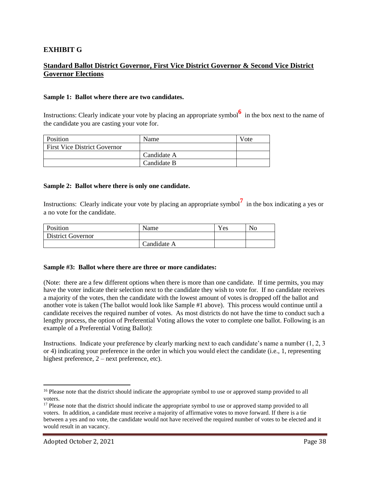#### **EXHIBIT G**

## **Standard Ballot District Governor, First Vice District Governor & Second Vice District Governor Elections**

#### **Sample 1: Ballot where there are two candidates.**

Instructions: Clearly indicate your vote by placing an appropriate symbol**<sup>6</sup>** in the box next to the name of the candidate you are casting your vote for.

| Position                            | Name        | Vote |
|-------------------------------------|-------------|------|
| <b>First Vice District Governor</b> |             |      |
|                                     | Candidate A |      |
|                                     | Candidate B |      |

#### **Sample 2: Ballot where there is only one candidate.**

Instructions: Clearly indicate your vote by placing an appropriate symbol**<sup>7</sup>** in the box indicating a yes or a no vote for the candidate.

| Position                 | Name        | Yes | No |
|--------------------------|-------------|-----|----|
| <b>District Governor</b> |             |     |    |
|                          | Candidate A |     |    |

#### **Sample #3: Ballot where there are three or more candidates:**

(Note: there are a few different options when there is more than one candidate. If time permits, you may have the voter indicate their selection next to the candidate they wish to vote for. If no candidate receives a majority of the votes, then the candidate with the lowest amount of votes is dropped off the ballot and another vote is taken (The ballot would look like Sample #1 above). This process would continue until a candidate receives the required number of votes. As most districts do not have the time to conduct such a lengthy process, the option of Preferential Voting allows the voter to complete one ballot. Following is an example of a Preferential Voting Ballot):

Instructions. Indicate your preference by clearly marking next to each candidate's name a number (1, 2, 3 or 4) indicating your preference in the order in which you would elect the candidate (i.e., 1, representing highest preference,  $2$  – next preference, etc).

<sup>&</sup>lt;sup>16</sup> Please note that the district should indicate the appropriate symbol to use or approved stamp provided to all voters.

<sup>&</sup>lt;sup>17</sup> Please note that the district should indicate the appropriate symbol to use or approved stamp provided to all voters. In addition, a candidate must receive a majority of affirmative votes to move forward. If there is a tie between a yes and no vote, the candidate would not have received the required number of votes to be elected and it would result in an vacancy.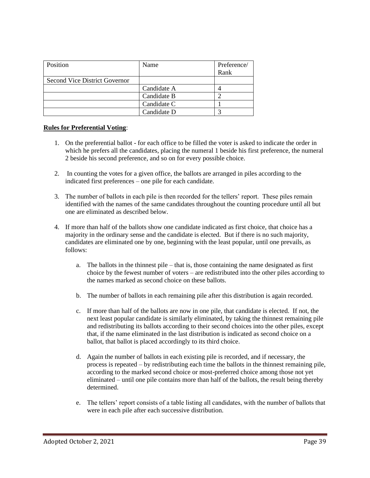| Position                      | Name        | Preference/ |
|-------------------------------|-------------|-------------|
|                               |             | Rank        |
| Second Vice District Governor |             |             |
|                               | Candidate A |             |
|                               | Candidate B |             |
|                               | Candidate C |             |
|                               | Candidate D |             |

#### **Rules for Preferential Voting**:

- 1. On the preferential ballot for each office to be filled the voter is asked to indicate the order in which he prefers all the candidates, placing the numeral 1 beside his first preference, the numeral 2 beside his second preference, and so on for every possible choice.
- 2. In counting the votes for a given office, the ballots are arranged in piles according to the indicated first preferences – one pile for each candidate.
- 3. The number of ballots in each pile is then recorded for the tellers' report. These piles remain identified with the names of the same candidates throughout the counting procedure until all but one are eliminated as described below.
- 4. If more than half of the ballots show one candidate indicated as first choice, that choice has a majority in the ordinary sense and the candidate is elected. But if there is no such majority, candidates are eliminated one by one, beginning with the least popular, until one prevails, as follows:
	- a. The ballots in the thinnest pile that is, those containing the name designated as first choice by the fewest number of voters – are redistributed into the other piles according to the names marked as second choice on these ballots.
	- b. The number of ballots in each remaining pile after this distribution is again recorded.
	- c. If more than half of the ballots are now in one pile, that candidate is elected. If not, the next least popular candidate is similarly eliminated, by taking the thinnest remaining pile and redistributing its ballots according to their second choices into the other piles, except that, if the name eliminated in the last distribution is indicated as second choice on a ballot, that ballot is placed accordingly to its third choice.
	- d. Again the number of ballots in each existing pile is recorded, and if necessary, the process is repeated – by redistributing each time the ballots in the thinnest remaining pile, according to the marked second choice or most-preferred choice among those not yet eliminated – until one pile contains more than half of the ballots, the result being thereby determined.
	- e. The tellers' report consists of a table listing all candidates, with the number of ballots that were in each pile after each successive distribution.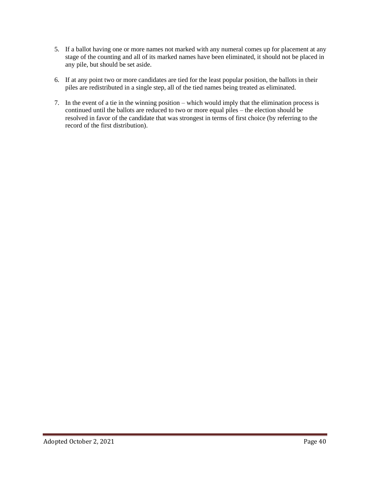- 5. If a ballot having one or more names not marked with any numeral comes up for placement at any stage of the counting and all of its marked names have been eliminated, it should not be placed in any pile, but should be set aside.
- 6. If at any point two or more candidates are tied for the least popular position, the ballots in their piles are redistributed in a single step, all of the tied names being treated as eliminated.
- 7. In the event of a tie in the winning position which would imply that the elimination process is continued until the ballots are reduced to two or more equal piles – the election should be resolved in favor of the candidate that was strongest in terms of first choice (by referring to the record of the first distribution).